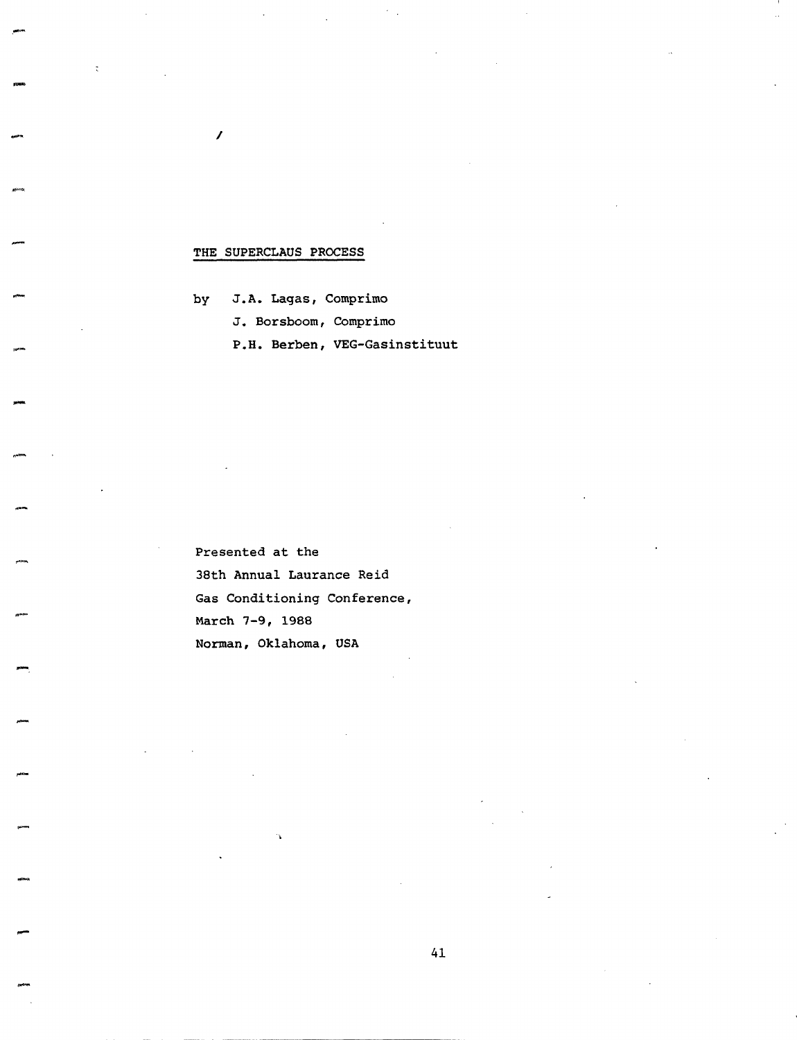## THE SUPERCLAUS PROCESS

/

by J.A. Lagas, Comprimo J. Borsboom, Comprimo P.H. Berben, VEG-Gasinstituut

Presented at the 38th Annual Laurance Reid Gas Conditioning Conference, March 7-9, 1988 Norman, Oklahoma, USA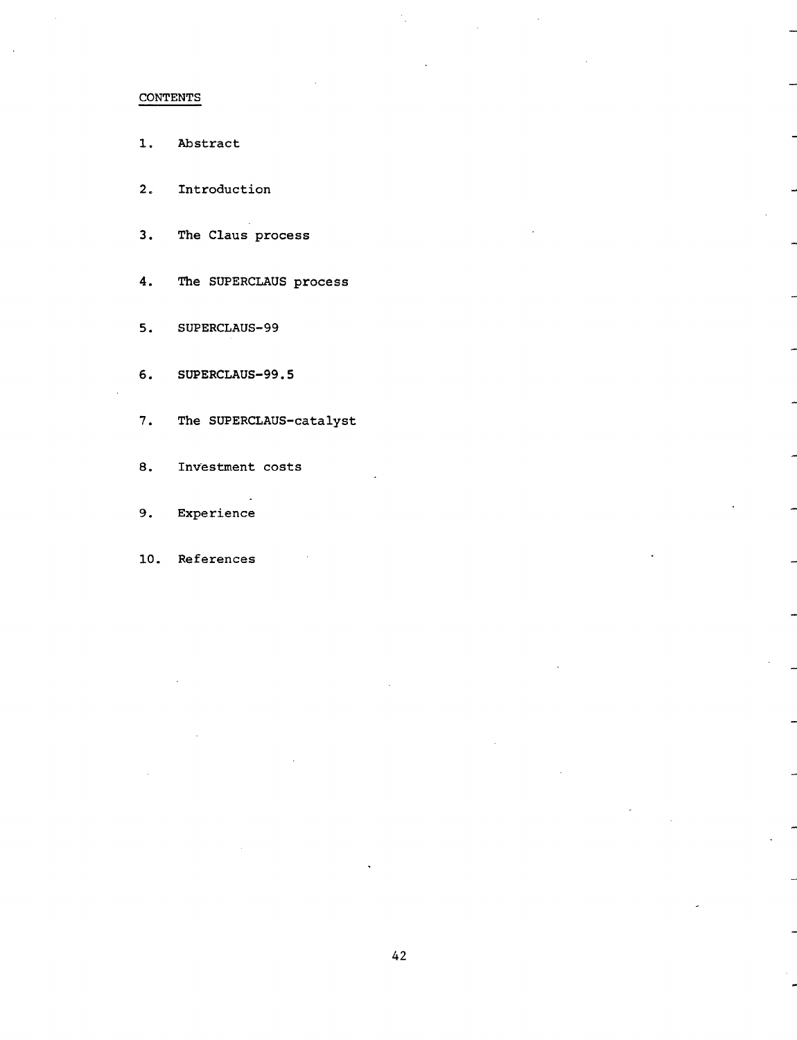# CONTENTS

- 1. Abstract
- 2. Introduction
- 3. The Claus process
- 4. The SUPERCLAUS process
- 5. SUPERCLAUS-99
- 6. SUPERCLAUS-99.5
- 7. The SUPERCLAUS-catalyst
- 8. Investment costs
- 9. Experience
- I0. References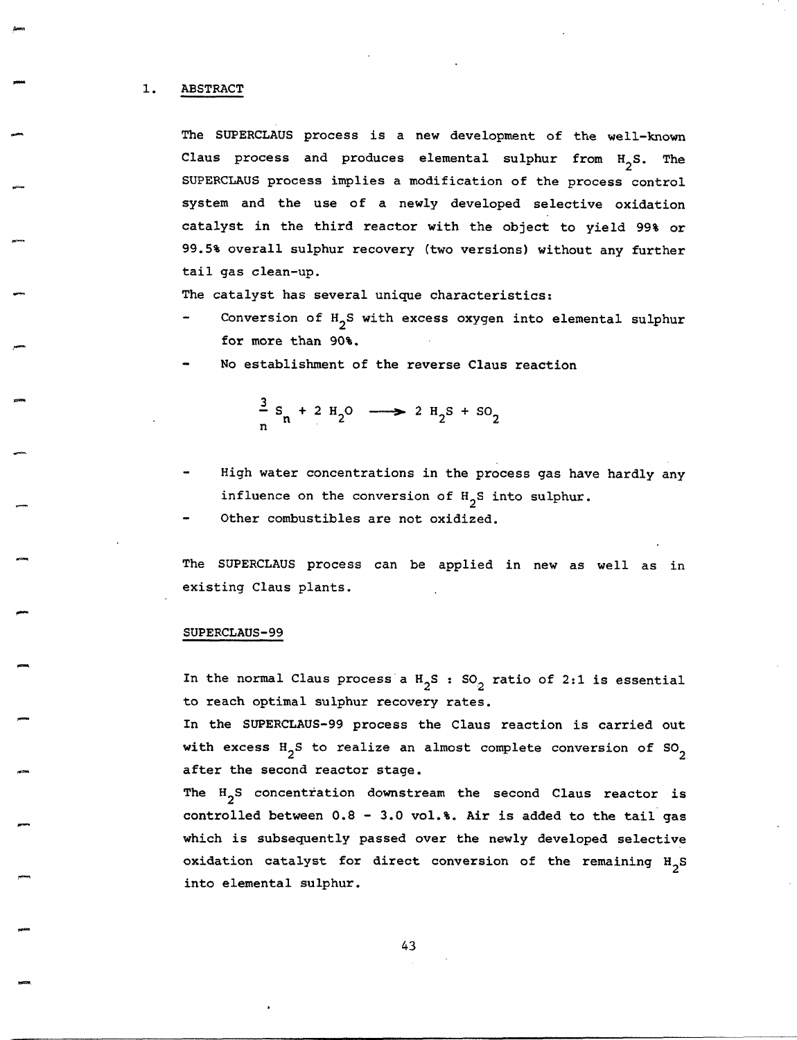### 1. ABSTRACT

The SUPERCLAUS process is a new development of the well-known Claus process and produces elemental sulphur from  $H_2S$ . The SUPERCLAUS process implies a modification of the process control system and the use of a newly developed selective oxidation catalyst in the third reactor with the object to yield 99% or 99.5% overall sulphur recovery (two versions) without any further tail gas clean-up.

The catalyst has several unique characteristics:

- Conversion of H<sub>2</sub>S with excess oxygen into elemental sulphur for more than 90%.
- No establishment of the reverse Claus reaction

$$
\frac{3}{n} s_n + 2 H_2 O \longrightarrow 2 H_2 S + SO_2
$$

- High water concentrations in the process gas have hardly any influence on the conversion of  $H_2S$  into sulphur.
- Other combustibles are not oxidized.

The SUPERCLAUS process can be applied in new as well as in existing Claus plants.

## SUPERCLAUS-99

In the normal Claus process a  $H_2S$  : SO<sub>2</sub> ratio of 2:1 is essential to reach optimal sulphur recovery rates.

In the SUPERCLAUS-99 process the Claus reaction is carried out with excess  $H_2S$  to realize an almost complete conversion of SO<sub>2</sub> after the second reactor stage.

The  $H_2S$  concentration downstream the second Claus reactor is controlled between 0.8 - 3.0 vol.%. Air is added to the tail gas which is subsequently passed over the newly developed selective oxidation catalyst for direct conversion of the remaining  $H_2S$ into elemental sulphur.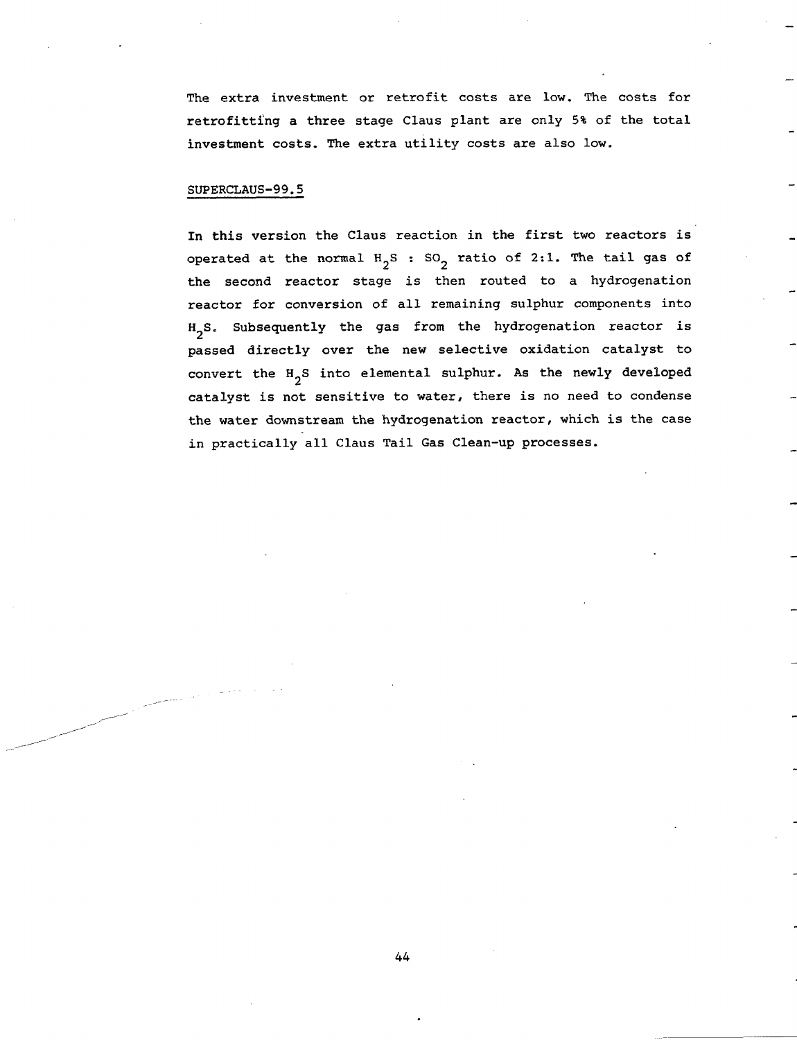The extra investment or retrofit costs are low. The costs for retrofitting a three stage Claus plant are only 5% of the total investment costs. The extra utility costs are also low.

#### SUPERCLAUS-99.5

المستشفين

In this version the Claus reaction in the first two reactors is operated at the normal  $H_2S$  : SO<sub>2</sub> ratio of 2:1. The tail gas of the second reactor stage is then routed to a hydrogenation reactor for conversion of all remaining sulphur components into  $H_2S$ . Subsequently the gas from the hydrogenation reactor is passed directly over the new selective oxidation catalyst to convert the H<sub>2</sub>S into elemental sulphur. As the newly developed catalyst is not sensitive to water, there is no need to condense the water downstream the hydrogenation reactor, which is the case in practically all Claus Tail Gas Clean-up processes.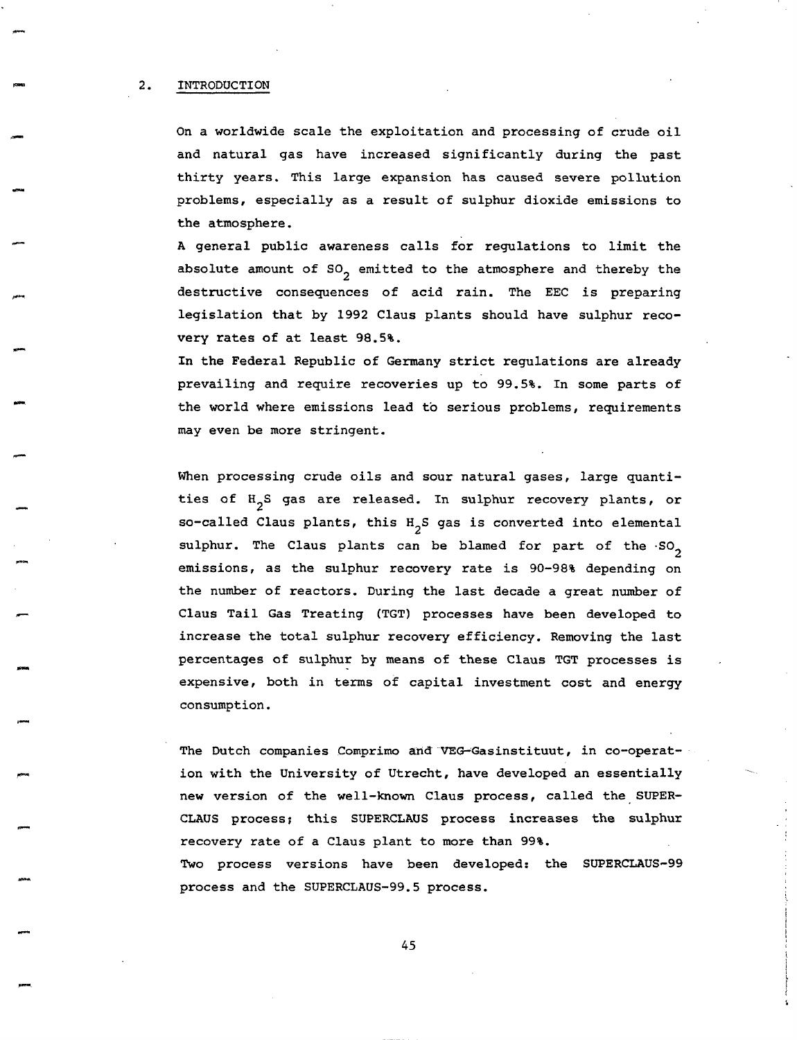#### 2. INTRODUCTION

On a worldwide scale the exploitation and processing of crude oil and natural gas have increased significantly during the past thirty years. This large expansion has caused severe pollution problems, especially as a result of sulphur dioxide emissions to the atmosphere.

A general public awareness calls for regulations to limit the absolute amount of  $SO_2$  emitted to the atmosphere and thereby the destructive consequences of acid rain. The EEC is preparing legislation that by 1992 Claus plants should have sulphur recovery rates of at least 98.5%.

In the Federal Republic of Germany strict regulations are already prevailing and require recoveries up to 99.5%. In some parts of the world where emissions lead to serious problems, requirements may even be more stringent.

When processing crude oils and sour natural gases, large quantities of H<sub>2</sub>S gas are released. In sulphur recovery plants, or so-called Claus plants, this  $H_2S$  gas is converted into elemental sulphur. The Claus plants can be blamed for part of the  $SO_2$ emissions, as the sulphur recovery rate is 90-98% depending on the number of reactors. During the last decade a great number of Claus Tail Gas Treating (TGT) processes have been developed to increase the total sulphur recovery efficiency. Removing the last percentages of sulphur by means of these Claus TGT processes is expensive, both in terms of capital investment cost and energy consumption.

The Dutch companies Comprimo and VEG-Gasinstituut, in co-operation with the University of Utrecht, have developed an essentially new version of the well-known Claus process, called the SUPER-CLAUS process; this SUPERCLAUS process increases the sulphur recovery rate of a Claus plant to more than 99%. Two process versions have been developed: the SUPERCLAUS-99 process and the SUPERCLAUS-99.5 process.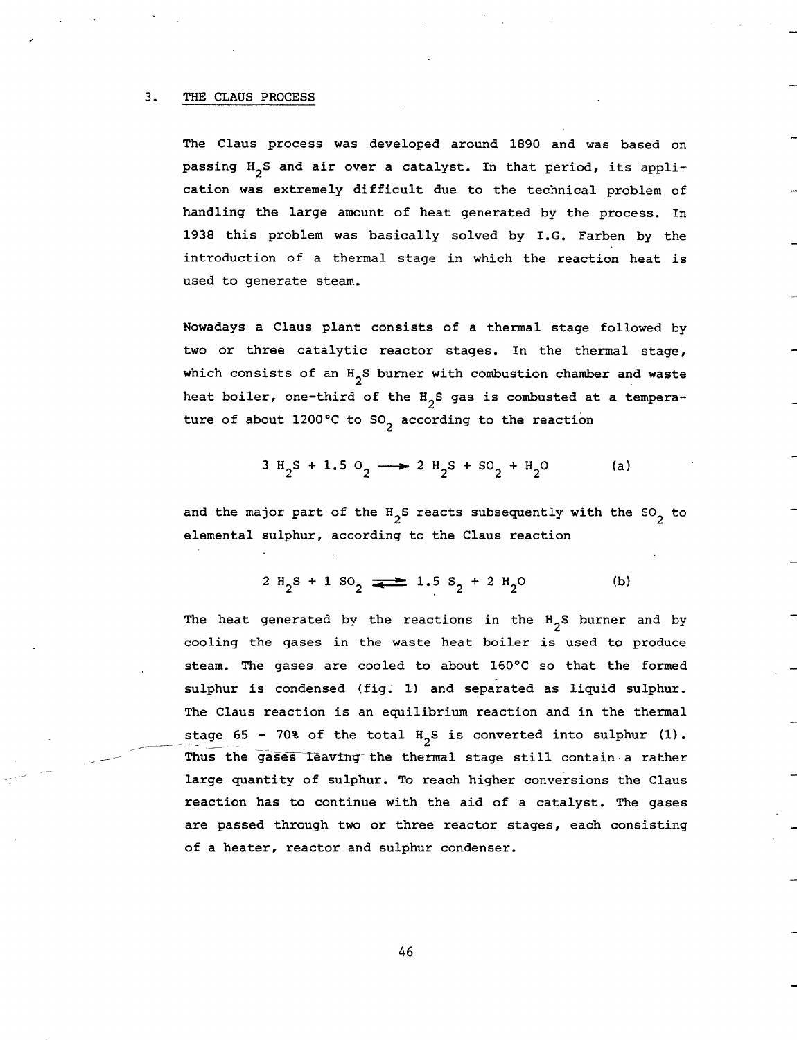#### 3. THE CLAUS PROCESS

/f

The Claus process was developed around 1890 and was based on passing H<sub>2</sub>S and air over a catalyst. In that period, its application was extremely difficult due to the technical problem of handling the large amount of heat generated by the process. In 1938 this problem was basically solved by I.G. Farben by the introduction of a thermal stage in which the reaction heat is used to generate steam.

Nowadays a Claus plant consists of a thermal stage followed by two or three catalytic reactor stages. In the thermal stage, which consists of an  $H_2S$  burner with combustion chamber and waste heat boiler, one-third of the  $H_2S$  gas is combusted at a temperature of about 1200°C to  $SO_2$  according to the reaction

$$
3 H_2 S + 1.5 O_2 \longrightarrow 2 H_2 S + SO_2 + H_2 O
$$
 (a)

and the major part of the  $H_2S$  reacts subsequently with the SO<sub>2</sub> to elemental sulphur, according to the Claus reaction

$$
2 H_2 S + 1 SO_2 \implies 1.5 S_2 + 2 H_2 O \tag{b}
$$

The heat generated by the reactions in the  $H_2S$  burner and by cooling the gases in the waste heat boiler is used to produce steam. The gases are cooled to about 160°C so that the formed sulphur is condensed (fig. 1) and separated as liquid sulphur. The Claus reaction is an equilibrium reaction and in the thermal stage 65 - 70% of the total  $H_2S$  is converted into sulphur (1). Thus the gases leaving the thermal stage still contain a rather large quantity of sulphur. To reach higher conversions the Claus reaction has to continue with the aid of a catalyst. The gases are passed through two or three reactor stages, each consisting of a heater, reactor and sulphur condenser.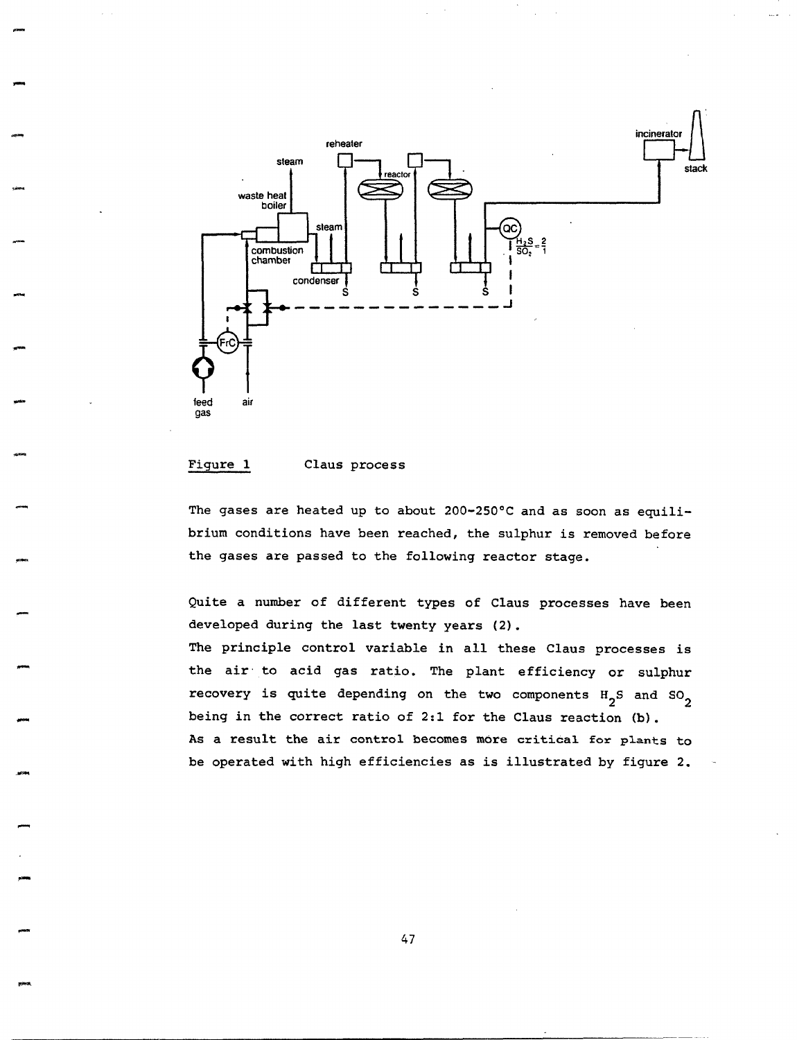

#### Figure 1 Claus process

The gases are heated up to about 200-250°C and as soon as equilibrium conditions have been reached, the sulphur is removed before the gases are passed to the following reactor stage.

Quite a number of different types of Claus processes have been developed during the last twenty years (2).

The principle control variable in all these Claus processes is the air to acid gas ratio. The plant efficiency or sulphur recovery is quite depending on the two components  $H_2S$  and  $SO_2$ being in the correct ratio of 2:1 for the Claus reaction (b). As a result the air control becomes more critical for plants to be operated with high efficiencies as is illustrated by figure 2.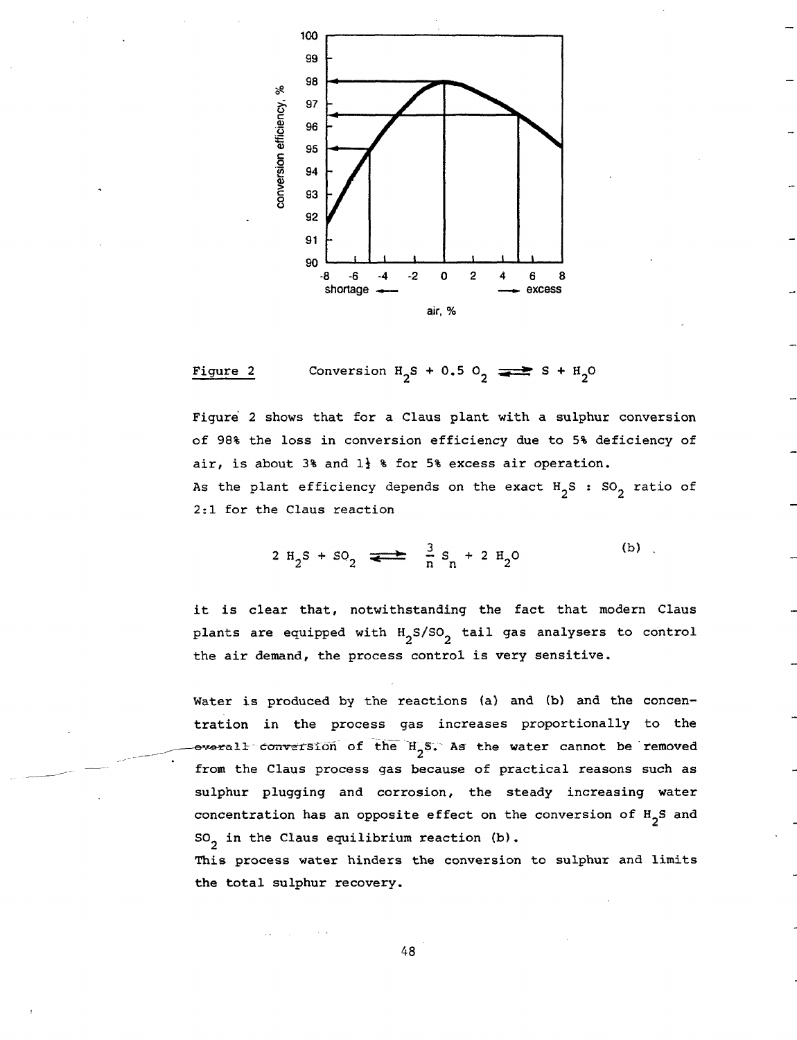

Figure 2 Conversion  $H_2S + 0.5 O_2 \implies S + H_2O$ 

Figure 2 shows that for a Claus plant with a sulphur conversion of 98% the loss in conversion efficiency due to 5% deficiency of air, is about 3% and  $1\frac{1}{2}$  % for 5% excess air operation. As the plant efficiency depends on the exact  $H_2S$  : SO<sub>2</sub> ratio of 2:1 for the Claus reaction

$$
2 H_2 S + SO_2 \longrightarrow \frac{3}{n} S_n + 2 H_2 O
$$
 (b)

it is clear that, notwithstanding the fact that modern Claus plants are equipped with  $H_2S/SO_2$  tail gas analysers to control the air demand, the process control is very sensitive.

Water is produced by the reactions (a) and (b) and the concentration in the process gas increases proportionally to the  $-$ everall conversion of the H<sub>2</sub>S. As the water cannot be removed from the Claus process gas because of practical reasons such as sulphur plugging and corrosion, the steady increasing water concentration has an opposite effect on the conversion of  $H_{2}S$  and  $SO<sub>2</sub>$  in the Claus equilibrium reaction (b).

This process water hinders the conversion to sulphur and limits the total sulphur recovery.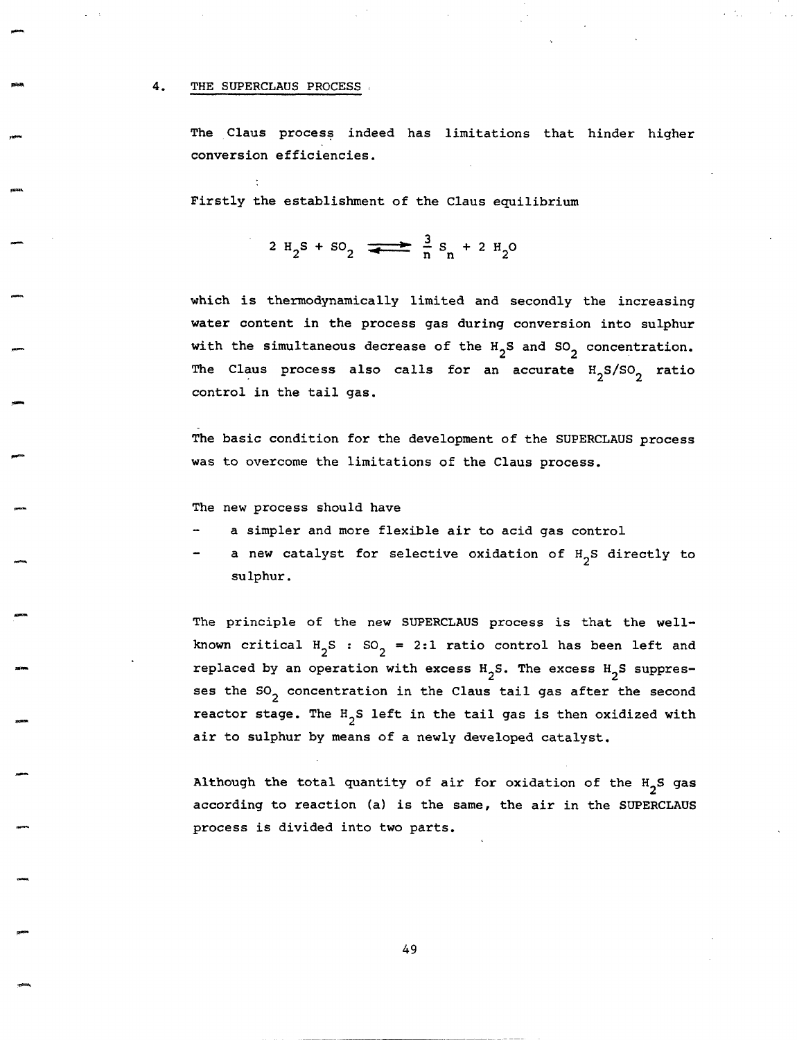## 4. THE SUPERCLAUS PROCESS.

The Claus process indeed has limitations that hinder higher conversion efficiencies.

Firstly the establishment of the Claus equilibrium

$$
2 H_2 S + SO_2 \longrightarrow \frac{3}{n} S_n + 2 H_2 O
$$

which is thermodynamically limited and secondly the increasing water content in the process gas during conversion into sulphur with the simultaneous decrease of the  $H_2S$  and  $SO_2$  concentration. The Claus process also calls for an accurate  $H_2S/SO_2$  ratio control in the tail gas.

The basic condition for the development of the SUPERCLAUS process was to overcome the limitations of the Claus process.

The new process should have

- a simpler and more flexible air to acid gas control
- a new catalyst for selective oxidation of  $H_2S$  directly to sulphur.

The principle of the new SUPERCLAUS process is that the wellknown critical H<sub>2</sub>S : SO<sub>2</sub> = 2:1 ratio control has been left and replaced by an operation with excess  $H_2S$ . The excess  $H_2S$  suppresses the  $SO_2$  concentration in the Claus tail gas after the second reactor stage. The  $H_{2}S$  left in the tail gas is then oxidized with air to sulphur by means of a newly developed catalyst.

Although the total quantity of air for oxidation of the  $H_2S$  gas according to reaction (a) is the same, the air in the SUPERCLAUS process is divided into two parts.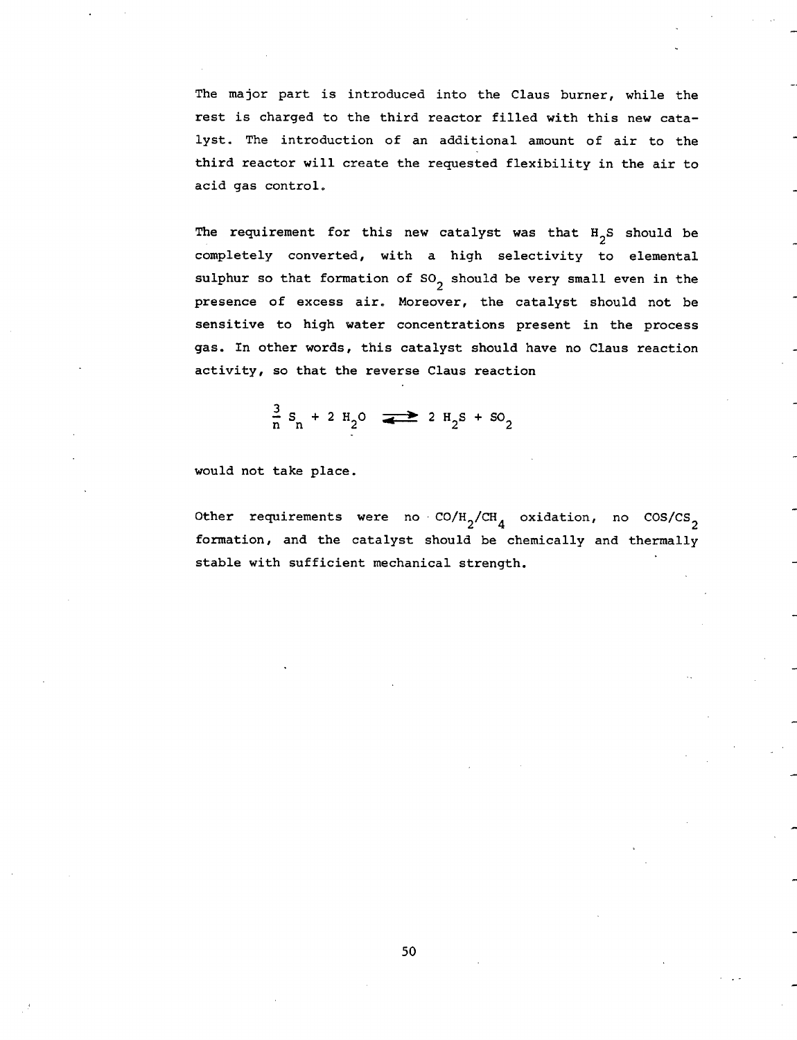The major part is introduced into the Claus burner, while the rest is charged to the third reactor filled with this new catalyst. The introduction of an additional amount of air to the third reactor will create the requested flexibility in the air to acid gas control.

The requirement for this new catalyst was that  $H_2S$  should be completely converted, with a high selectivity to elemental sulphur so that formation of  $SO_2$  should be very small even in the presence of excess air. Moreover, the catalyst should not be sensitive to high water concentrations present in the process gas. In other words, this catalyst should have no Claus reaction activity, so that the reverse Claus reaction

$$
\frac{3}{n} S_n + 2 H_2 O \implies 2 H_2 S + SO_2
$$

would not take place.

Other requirements were no  $CO/H_{2}/CH_{4}$  oxidation, no  $COS/CS_{2}$ formation, and the catalyst should be chemically and thermally stable with sufficient mechanical strength.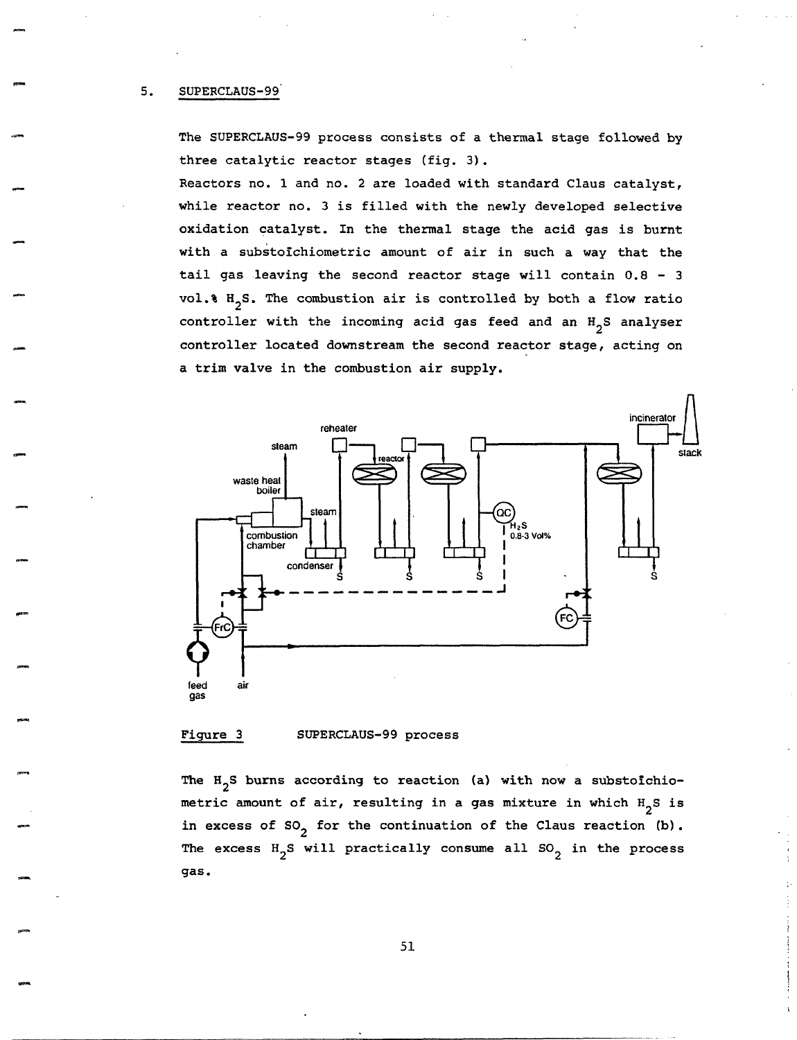The SUPERCLAUS-99 process consists of a thermal stage followed by three catalytic reactor stages (fig. 3).

Reactors no. 1 and no. 2 are loaded with standard Claus catalyst, while reactor no. 3 is filled with the newly developed selective oxidation catalyst. In the thermal stage the acid gas is burnt with a substofchiometric amount of air in such a way that the tail gas leaving the second reactor stage will contain 0.8 - 3 vol.  $\frac{1}{3}$  H<sub>2</sub>S. The combustion air is controlled by both a flow ratio controller with the incoming acid gas feed and an  $H_{2}S$  analyser controller located downstream the second reactor stage, acting on a trim valve in the combustion air supply.



## Figure 3 SUPERCLAUS-99 process

The  $H_2S$  burns according to reaction (a) with now a substoichiometric amount of air, resulting in a gas mixture in which  $H_2S$  is in excess of  $SO_2$  for the continuation of the Claus reaction (b). The excess  $H_2S$  will practically consume all  $SO_2$  in the process gas.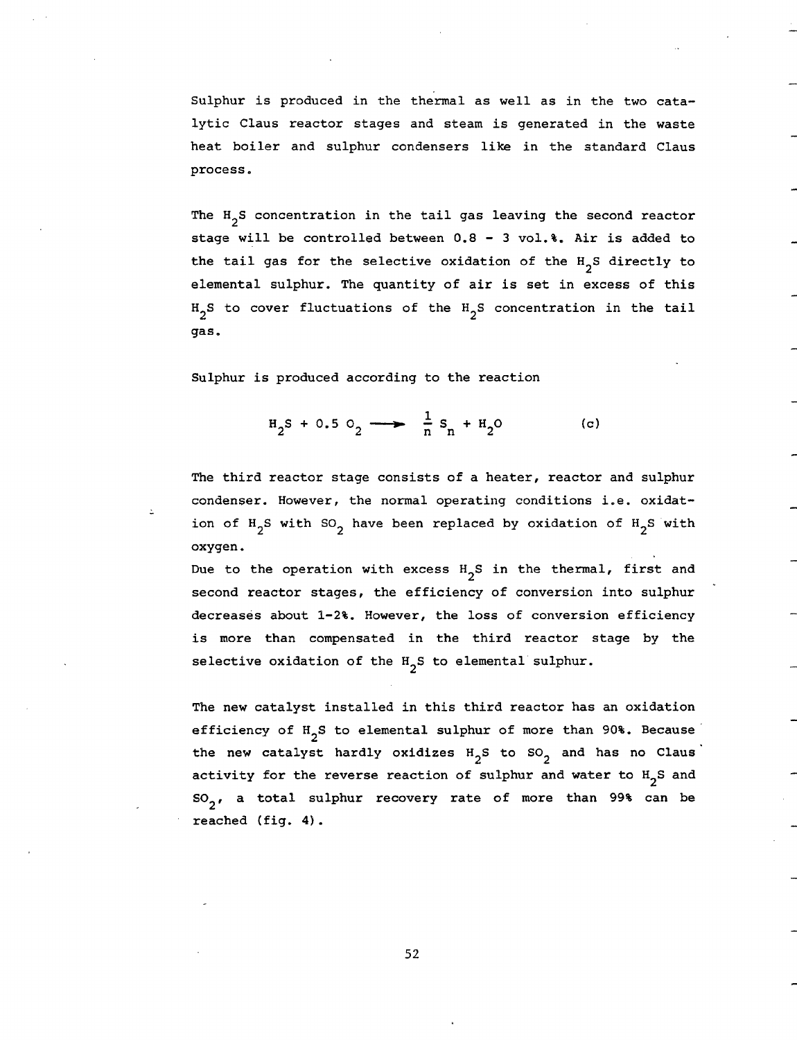Sulphur is produced in the thermal as well as in the two catalytic Claus reactor stages and steam is generated in the waste heat boiler and sulphur condensers like in the standard Claus process.

The  $H_2S$  concentration in the tail gas leaving the second reactor stage will be controlled between 0.8 - 3 vol.%. Air is added to the tail gas for the selective oxidation of the  $H_2S$  directly to elemental sulphur. The quantity of air is set in excess of this  $H_2S$  to cover fluctuations of the  $H_2S$  concentration in the tail gas.

Sulphur is produced according to the reaction

$$
H_2S + 0.5 O_2 \longrightarrow \frac{1}{n} S_n + H_2O
$$
 (c)

The third reactor stage consists of a heater, reactor and sulphur condenser. However, the normal operating conditions i.e. oxidation of  $H_2S$  with SO<sub>2</sub> have been replaced by oxidation of  $H_2S$  with oxygen.

Due to the operation with excess  $H_2S$  in the thermal, first and second reactor stages, the efficiency of conversion into sulphur decreases about 1-2%. However, the loss of conversion efficiency is more than compensated in the third reactor stage by the selective oxidation of the  $H_2S$  to elemental sulphur.

The new catalyst installed in this third reactor has an oxidation efficiency of  $H_{2}S$  to elemental sulphur of more than 90%. Because the new catalyst hardly oxidizes  $H_2S$  to SO<sub>2</sub> and has no Claus activity for the reverse reaction of sulphur and water to  $H_2S$  and  $SO_2$ , a total sulphur recovery rate of more than 99% can be reached (fig. 4).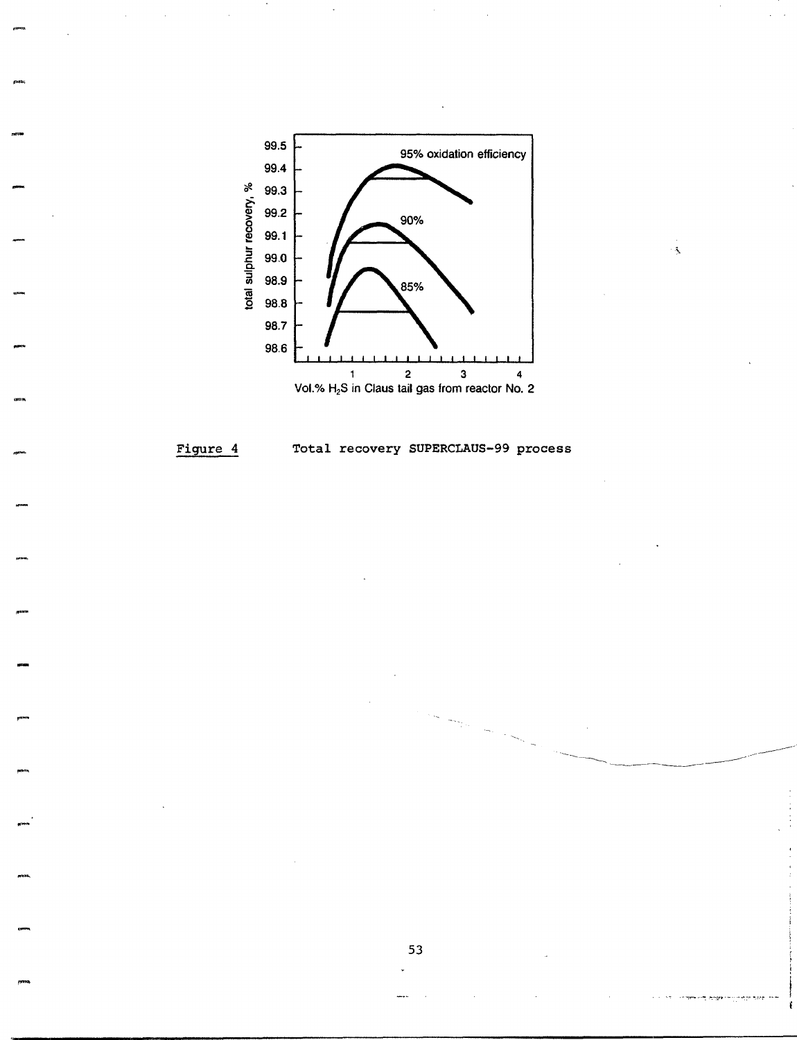

 $\mathcal{A}$ 

#### Total recovery SUPERCLAUS-99 process Figure 4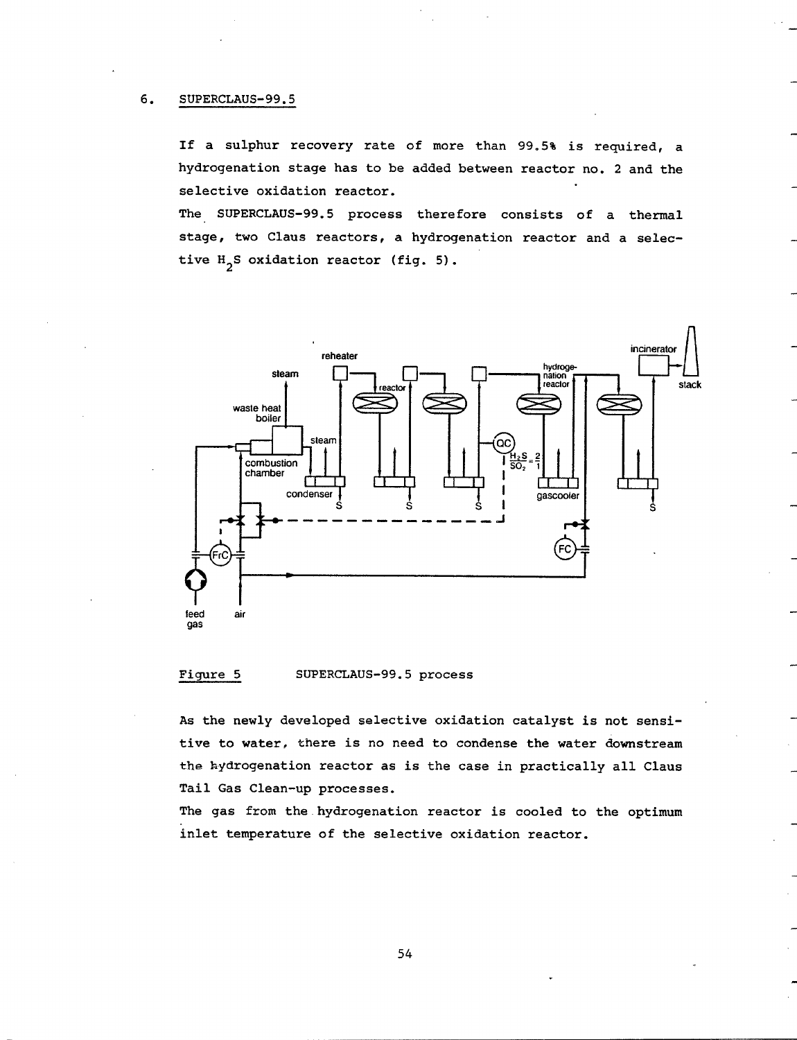#### 6. SUPERCLAUS-99.5

If a sulphur recovery rate of more than 99.5% is required, a hydrogenation stage has to be added between reactor no. 2 and the selective oxidation reactor.

The SUPERCLAUS-99.5 process therefore consists of a thermal stage, two Claus reactors, a hydrogenation reactor and a selective  $H_2S$  oxidation reactor (fig. 5).



#### Figure 5 SUPERCLAUS-99.5 process

As the newly developed selective oxidation catalyst is not sensitive to water, there is no need to condense the water downstream the hydrogenation reactor as is the case in practically all Claus Tail Gas Clean-up processes.

The gas from the hydrogenation reactor is cooled to the optimum inlet temperature of the selective oxidation reactor.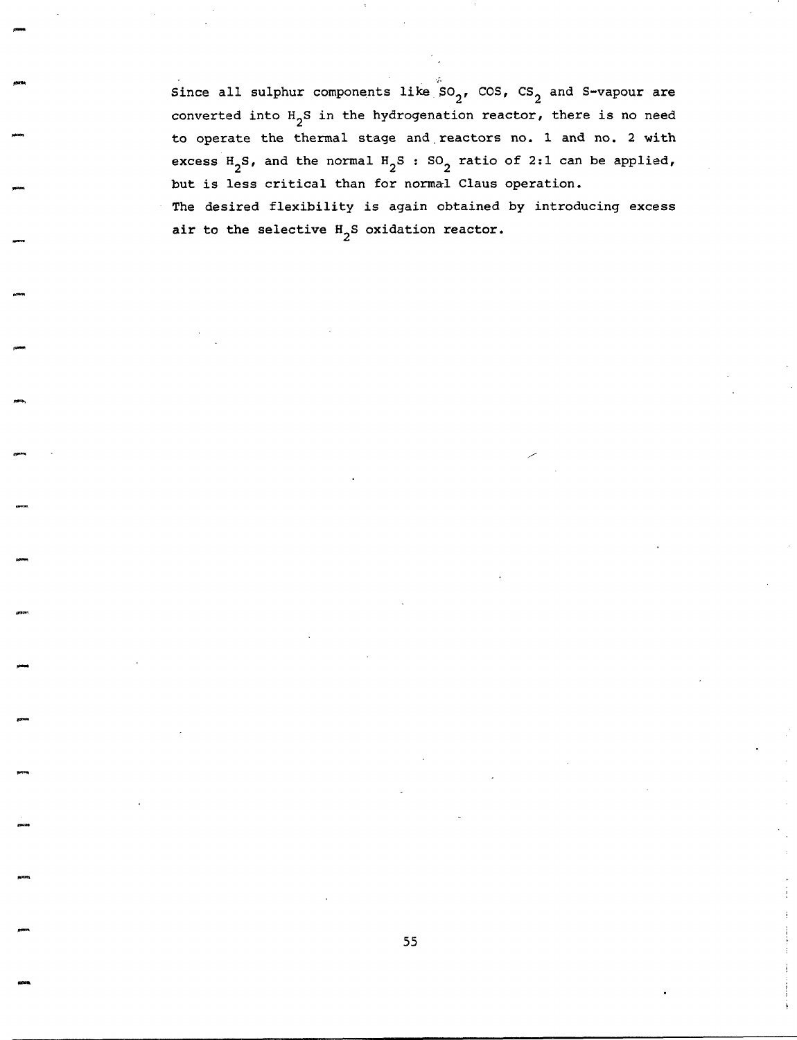Since all sulphur components like  $SO_2$ , COS, CS<sub>2</sub> and S-vapour are converted into  $H_2S$  in the hydrogenation reactor, there is no need to operate the thermal stage and reactors no. 1 and no. 2 with excess  $H_2S$ , and the normal  $H_2S$  : SO<sub>2</sub> ratio of 2:1 can be applied, but is less critical than for normal Claus operation. The desired flexibility is again obtained by introducing excess air to the selective  $H_2S$  oxidation reactor.

f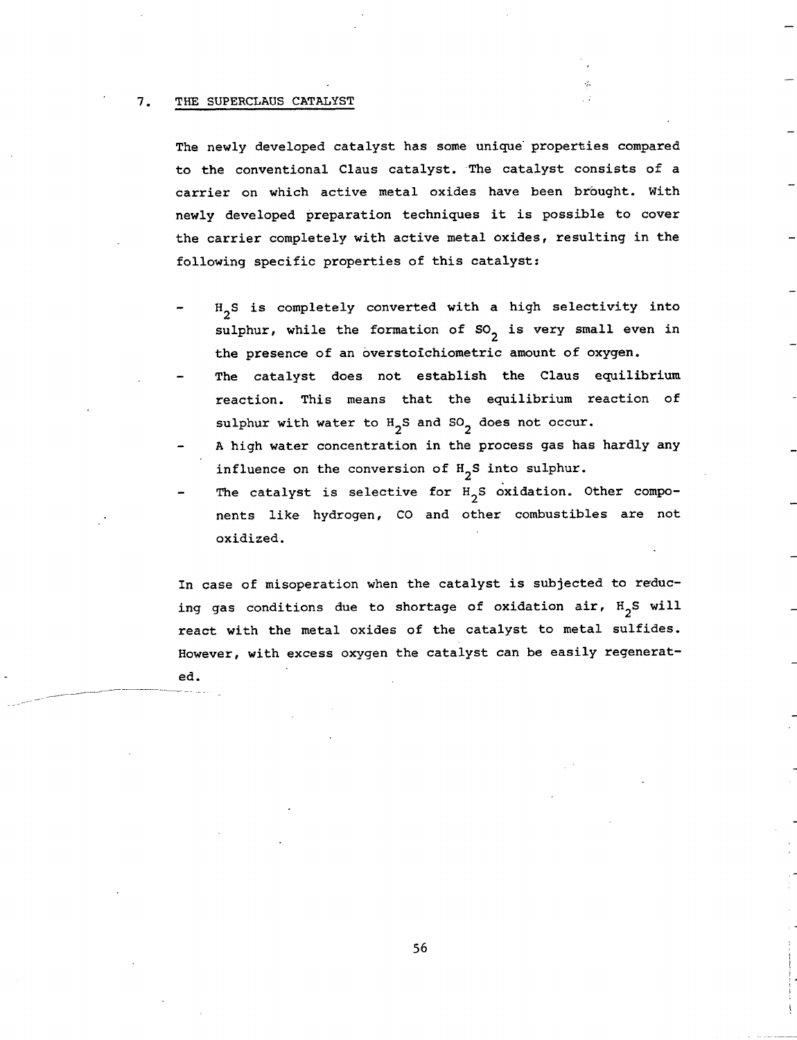#### 7. THE SUPERCLAUS CATALYST

The newly developed catalyst has some unique properties compared to the conventional Claus catalyst. The catalyst consists of a carrier on which active metal oxides have been brought. With newly developed preparation techniques it is possible to cover the carrier completely with active metal oxides, resulting in the following specific properties of this catalyst:

- $H_2S$  is completely converted with a high selectivity into sulphur, while the formation of  $SO_2$  is very small even in the presence of an overstoichiometric amount of oxygen.
- The catalyst does not establish the Claus equilibrium reaction. This means that the equilibrium reaction of sulphur with water to  $H_2S$  and  $SO_2$  does not occur.
- A high water concentration in the process gas has hardly any influence on the conversion of  $H_2S$  into sulphur.
- The catalyst is selective for  $H_2S$  oxidation. Other components like hydrogen, CO and other combustibles are not oxidized.

In case of misoperation when the catalyst is subjected to reducing gas conditions due to shortage of oxidation air,  $H_2S$  will react with the metal oxides of the catalyst to metal sulfides. However, with excess oxygen the catalyst can be easily regenerated.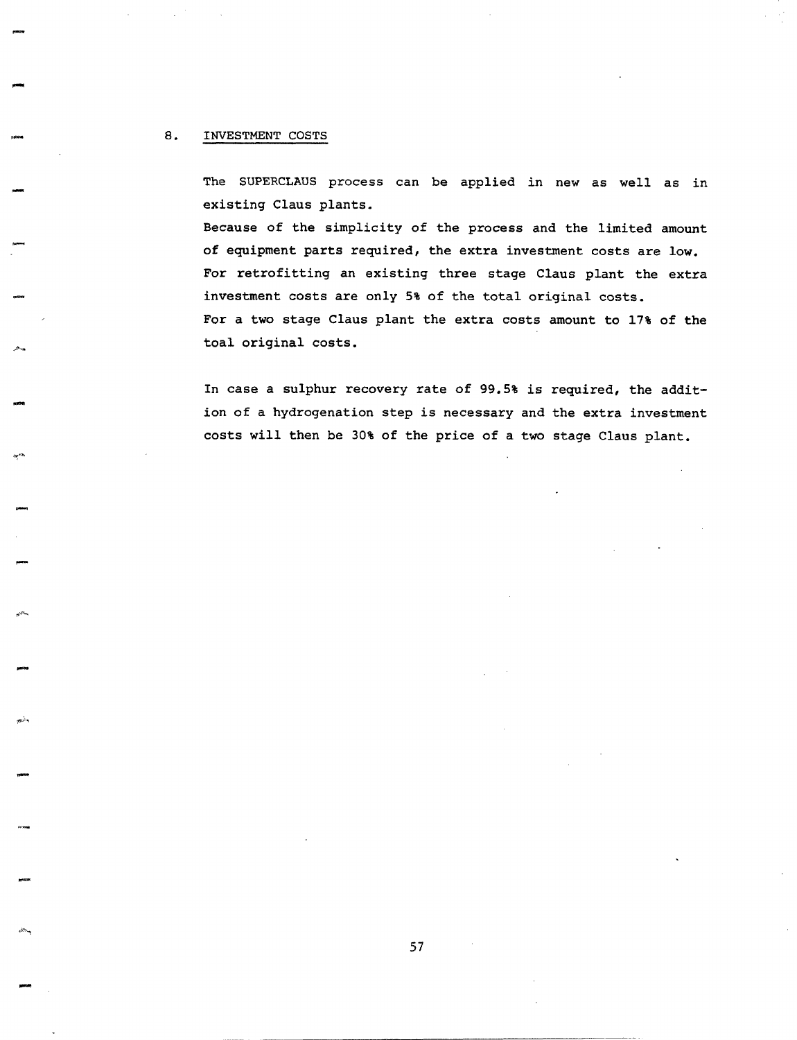### 8. INVESTMENT COSTS

The SUPERCLAUS process can be applied in new as well as in existing Claus plants.

Because of the simplicity of the process and the limited amount of equipment parts required, the extra investment costs are low. For retrofitting an existing three stage Claus plant the extra investment costs are only 5% of the total original costs. For a two stage Claus plant the extra costs amount to 17% of the toal original costs.

In case a sulphur recovery rate of 99.5% is required, the addition of a hydrogenation step is necessary and the extra investment costs will then be 30% of the price of a two stage Claus plant.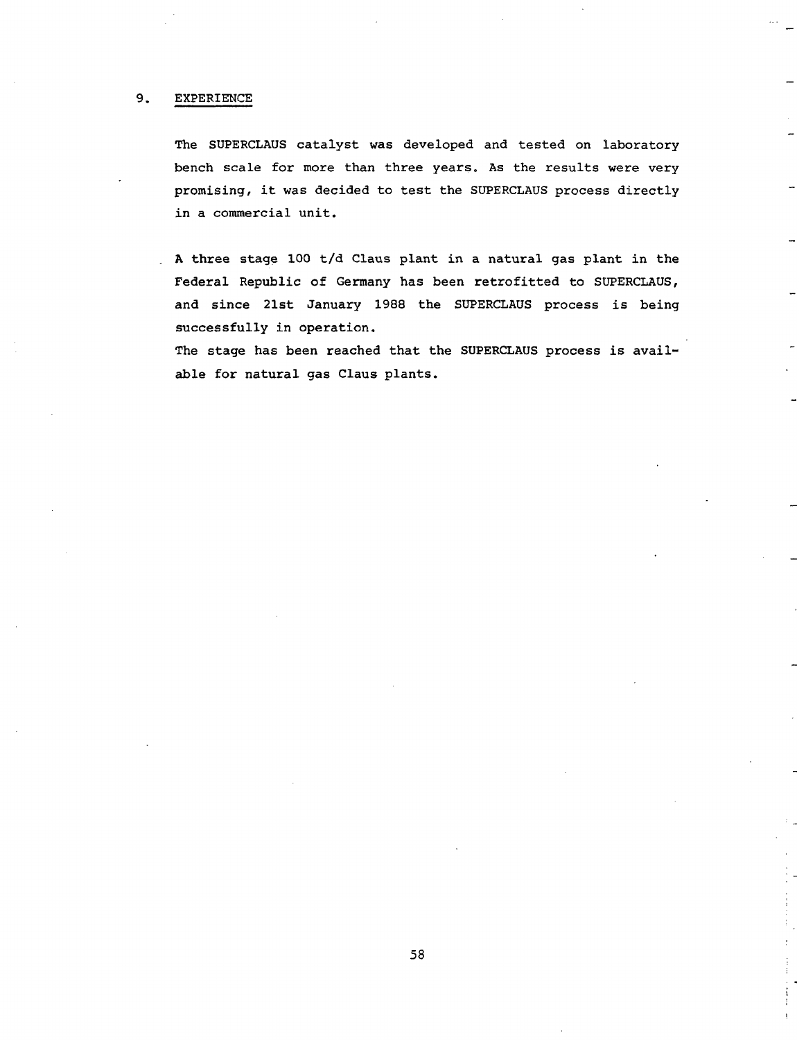### 9. EXPERIENCE

The SUPERCLAUS catalyst was developed and tested on laboratory bench scale for more than three years. As the results were very promising, it was decided to test the SUPERCLAUS process directly in a commercial unit.

A three stage I00 t/d Claus plant in a natural gas plant in the Federal Republic of Germany has been retrofitted to SUPERCLAUS, and since 21st January 1988 the SUPERCLAUS process is being successfully in operation.

The stage has been reached that the SUPERCLAUS process is available for natural gas Claus plants.